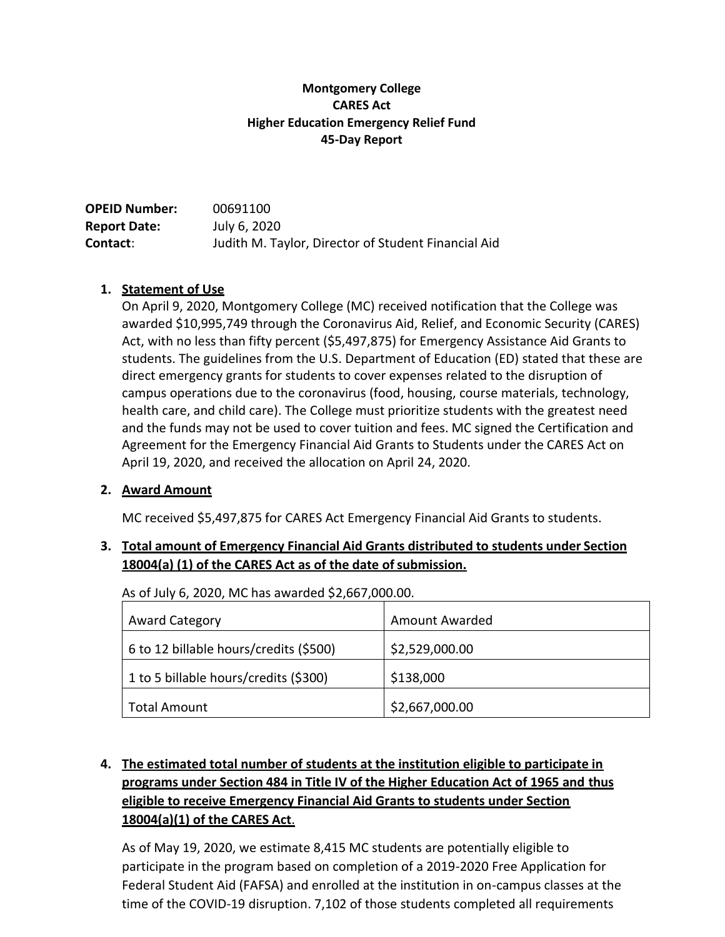### **Montgomery College CARES Act Higher Education Emergency Relief Fund 45-Day Report**

| <b>OPEID Number:</b> | 00691100                                            |
|----------------------|-----------------------------------------------------|
| <b>Report Date:</b>  | July 6, 2020                                        |
| <b>Contact:</b>      | Judith M. Taylor, Director of Student Financial Aid |

### **1. Statement of Use**

On April 9, 2020, Montgomery College (MC) received notification that the College was awarded \$10,995,749 through the Coronavirus Aid, Relief, and Economic Security (CARES) Act, with no less than fifty percent (\$5,497,875) for Emergency Assistance Aid Grants to students. The guidelines from the U.S. Department of Education (ED) stated that these are direct emergency grants for students to cover expenses related to the disruption of campus operations due to the coronavirus (food, housing, course materials, technology, health care, and child care). The College must prioritize students with the greatest need and the funds may not be used to cover tuition and fees. MC signed the Certification and Agreement for the Emergency Financial Aid Grants to Students under the CARES Act on April 19, 2020, and received the allocation on April 24, 2020.

#### **2. Award Amount**

MC received \$5,497,875 for CARES Act Emergency Financial Aid Grants to students.

### **3. Total amount of Emergency Financial Aid Grants distributed to students under Section**  18004(a) (1) of the CARES Act as of the date of submission.

| <b>Award Category</b>                  | <b>Amount Awarded</b> |
|----------------------------------------|-----------------------|
| 6 to 12 billable hours/credits (\$500) | \$2,529,000.00        |
| 1 to 5 billable hours/credits (\$300)  | \$138,000             |
| <b>Total Amount</b>                    | \$2,667,000.00        |

As of July 6, 2020, MC has awarded \$2,667,000.00.

# **4. The estimated total number of students at the institution eligible to participate in programs under Section 484 in Title IV of the Higher Education Act of 1965 and thus eligible to receive Emergency Financial Aid Grants to students under Section 18004(a)(1) of the CARES Act**.

As of May 19, 2020, we estimate 8,415 MC students are potentially eligible to participate in the program based on completion of a 2019-2020 Free Application for Federal Student Aid (FAFSA) and enrolled at the institution in on-campus classes at the time of the COVID-19 disruption. 7,102 of those students completed all requirements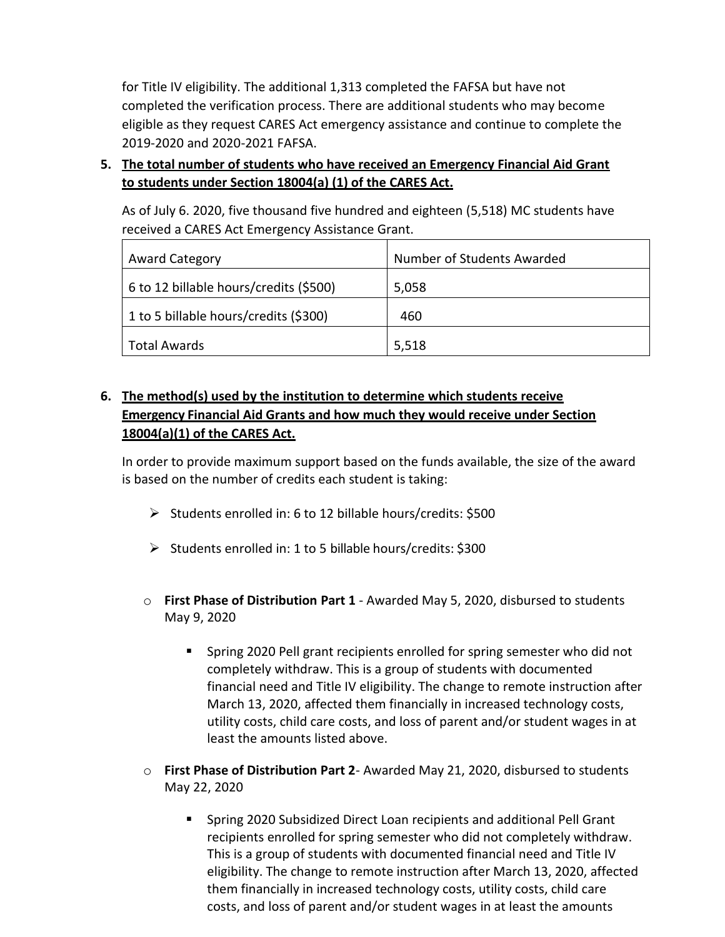for Title IV eligibility. The additional 1,313 completed the FAFSA but have not completed the verification process. There are additional students who may become eligible as they request CARES Act emergency assistance and continue to complete the 2019-2020 and 2020-2021 FAFSA.

**5. The total number of students who have received an Emergency Financial Aid Grant to students under Section 18004(a) (1) of the CARES Act.**

As of July 6. 2020, five thousand five hundred and eighteen (5,518) MC students have received a CARES Act Emergency Assistance Grant.

| <b>Award Category</b>                  | Number of Students Awarded |
|----------------------------------------|----------------------------|
| 6 to 12 billable hours/credits (\$500) | 5,058                      |
| 1 to 5 billable hours/credits (\$300)  | 460                        |
| <b>Total Awards</b>                    | 5,518                      |

## **6. The method(s) used by the institution to determine which students receive Emergency Financial Aid Grants and how much they would receive under Section 18004(a)(1) of the CARES Act.**

In order to provide maximum support based on the funds available, the size of the award is based on the number of credits each student is taking:

- ➢ Students enrolled in: 6 to 12 billable hours/credits: \$500
- ➢ Students enrolled in: 1 to 5 billable hours/credits: \$300
- o **First Phase of Distribution Part 1** Awarded May 5, 2020, disbursed to students May 9, 2020
	- Spring 2020 Pell grant recipients enrolled for spring semester who did not completely withdraw. This is a group of students with documented financial need and Title IV eligibility. The change to remote instruction after March 13, 2020, affected them financially in increased technology costs, utility costs, child care costs, and loss of parent and/or student wages in at least the amounts listed above.
- o **First Phase of Distribution Part 2** Awarded May 21, 2020, disbursed to students May 22, 2020
	- Spring 2020 Subsidized Direct Loan recipients and additional Pell Grant recipients enrolled for spring semester who did not completely withdraw. This is a group of students with documented financial need and Title IV eligibility. The change to remote instruction after March 13, 2020, affected them financially in increased technology costs, utility costs, child care costs, and loss of parent and/or student wages in at least the amounts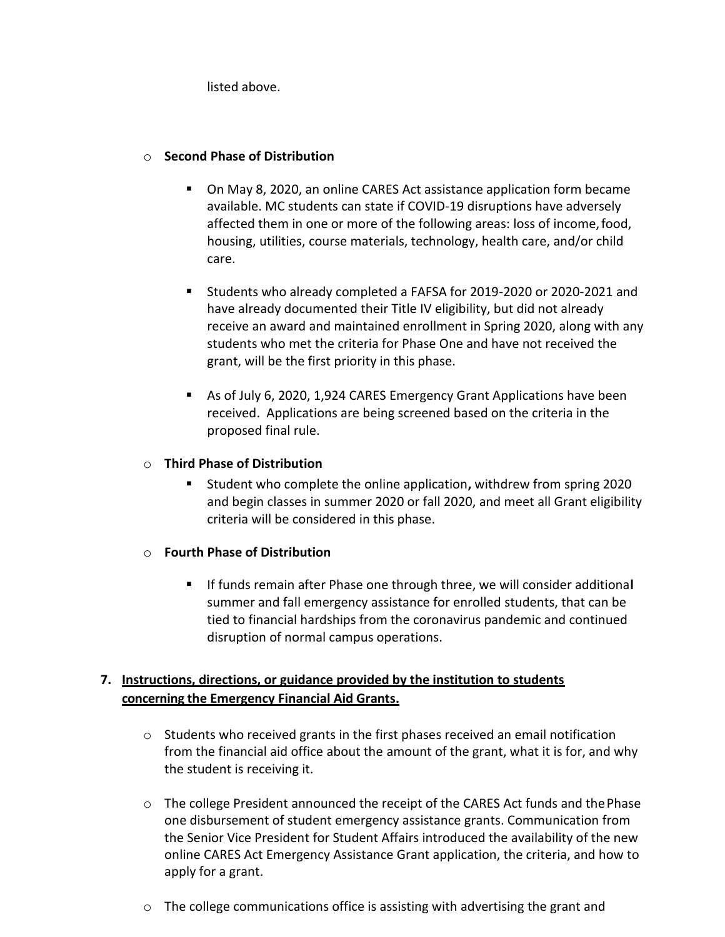listed above.

### o **Second Phase of Distribution**

- On May 8, 2020, an online CARES Act assistance application form became available. MC students can state if COVID-19 disruptions have adversely affected them in one or more of the following areas: loss of income,food, housing, utilities, course materials, technology, health care, and/or child care.
- Students who already completed a FAFSA for 2019-2020 or 2020-2021 and have already documented their Title IV eligibility, but did not already receive an award and maintained enrollment in Spring 2020, along with any students who met the criteria for Phase One and have not received the grant, will be the first priority in this phase.
- As of July 6, 2020, 1,924 CARES Emergency Grant Applications have been received. Applications are being screened based on the criteria in the proposed final rule.

### o **Third Phase of Distribution**

■ Student who complete the online application, withdrew from spring 2020 and begin classes in summer 2020 or fall 2020, and meet all Grant eligibility criteria will be considered in this phase.

### o **Fourth Phase of Distribution**

▪ If funds remain after Phase one through three, we will consider additiona**l**  summer and fall emergency assistance for enrolled students, that can be tied to financial hardships from the coronavirus pandemic and continued disruption of normal campus operations.

### **7. Instructions, directions, or guidance provided by the institution to students concerning the Emergency Financial Aid Grants.**

- o Students who received grants in the first phases received an email notification from the financial aid office about the amount of the grant, what it is for, and why the student is receiving it.
- $\circ$  The college President announced the receipt of the CARES Act funds and the Phase one disbursement of student emergency assistance grants. Communication from the Senior Vice President for Student Affairs introduced the availability of the new online CARES Act Emergency Assistance Grant application, the criteria, and how to apply for a grant.
- $\circ$  The college communications office is assisting with advertising the grant and